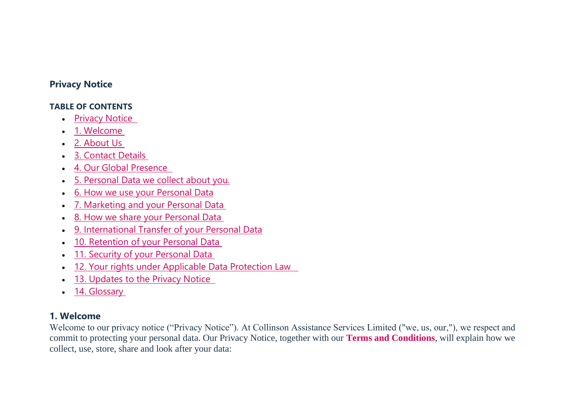### **Privacy Notice**

### **TABLE OF CONTENTS**

- Privacy Notice
- 1. Welcome
- 2. About Us
- 3. Contact Details
- 4. Our Global Presence
- 5. Personal Data we collect about you.
- 6. How we use your Personal Data
- 7. Marketing and your Personal Data
- 8. How we share your Personal Data
- 9. International Transfer of your Personal Data
- 10. Retention of your Personal Data
- 11. Security of your Personal Data
- 12. Your rights under Applicable Data Protection Law
- 13. Updates to the Privacy Notice
- 14. Glossary

## **1. Welcome**

Welcome to our privacy notice ("Privacy Notice"). At Collinson Assistance Services Limited ("we, us, our,"), we respect and commit to protecting your personal data. Our Privacy Notice, together with our **[Terms and Conditions](https://collinsongroup.freshdesk.com/a/solutions/articles/80000195110?lang=en&portalId=80000014662)**, will explain how we collect, use, store, share and look after your data: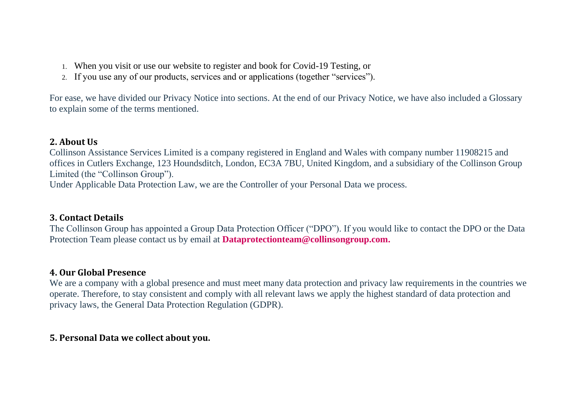- 1. When you visit or use our website to register and book for Covid-19 Testing, or
- 2. If you use any of our products, services and or applications (together "services").

For ease, we have divided our Privacy Notice into sections. At the end of our Privacy Notice, we have also included a Glossary to explain some of the terms mentioned.

#### **2. About Us**

Collinson Assistance Services Limited is a company registered in England and Wales with company number 11908215 and offices in Cutlers Exchange, 123 Houndsditch, London, EC3A 7BU, United Kingdom, and a subsidiary of the Collinson Group Limited (the "Collinson Group").

Under Applicable Data Protection Law, we are the Controller of your Personal Data we process.

### **3. Contact Details**

The Collinson Group has appointed a Group Data Protection Officer ("DPO"). If you would like to contact the DPO or the Data Protection Team please contact us by email at **[Dataprotectionteam@collinsongroup.com.](mailto:Dataprotectionteam@collinsongroup.com)**

### **4. Our Global Presence**

We are a company with a global presence and must meet many data protection and privacy law requirements in the countries we operate. Therefore, to stay consistent and comply with all relevant laws we apply the highest standard of data protection and privacy laws, the General Data Protection Regulation (GDPR).

#### **5. Personal Data we collect about you.**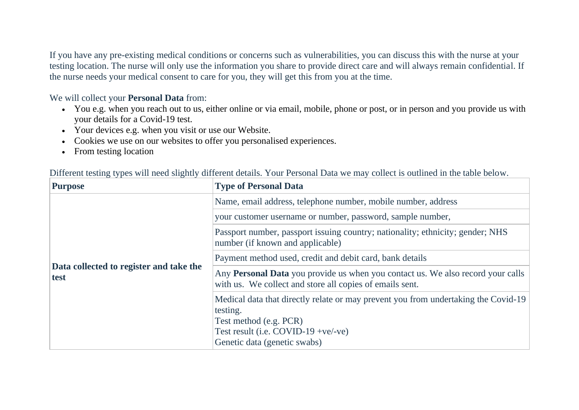If you have any pre-existing medical conditions or concerns such as vulnerabilities, you can discuss this with the nurse at your testing location. The nurse will only use the information you share to provide direct care and will always remain confidential. If the nurse needs your medical consent to care for you, they will get this from you at the time.

We will collect your **Personal Data** from:

- You e.g. when you reach out to us, either online or via email, mobile, phone or post, or in person and you provide us with your details for a Covid-19 test.
- Your devices e.g. when you visit or use our Website.
- Cookies we use on our websites to offer you personalised experiences.
- From testing location

| <b>Purpose</b>                                  | <b>Type of Personal Data</b>                                                                                                                                    |
|-------------------------------------------------|-----------------------------------------------------------------------------------------------------------------------------------------------------------------|
|                                                 | Name, email address, telephone number, mobile number, address                                                                                                   |
|                                                 | your customer username or number, password, sample number,                                                                                                      |
|                                                 | Passport number, passport issuing country; nationality; ethnicity; gender; NHS<br>number (if known and applicable)                                              |
|                                                 | Payment method used, credit and debit card, bank details                                                                                                        |
| Data collected to register and take the<br>test | Any Personal Data you provide us when you contact us. We also record your calls<br>with us. We collect and store all copies of emails sent.                     |
|                                                 | Medical data that directly relate or may prevent you from undertaking the Covid-19<br>testing.<br>Test method (e.g. PCR)<br>Test result (i.e. COVID-19 +ve/-ve) |
|                                                 | Genetic data (genetic swabs)                                                                                                                                    |

Different testing types will need slightly different details. Your Personal Data we may collect is outlined in the table below.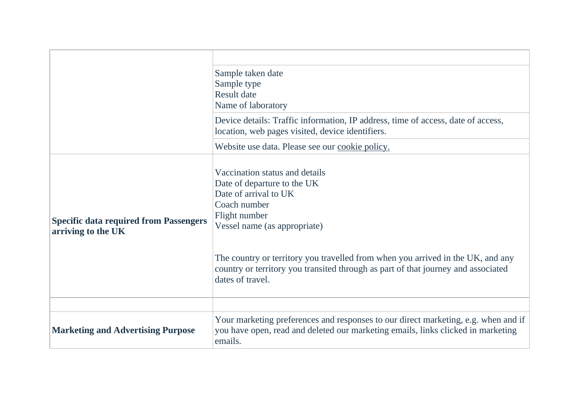|                                                                     | Sample taken date<br>Sample type<br><b>Result date</b><br>Name of laboratory                                                                                                                                                                                                                                                                        |
|---------------------------------------------------------------------|-----------------------------------------------------------------------------------------------------------------------------------------------------------------------------------------------------------------------------------------------------------------------------------------------------------------------------------------------------|
|                                                                     | Device details: Traffic information, IP address, time of access, date of access,<br>location, web pages visited, device identifiers.                                                                                                                                                                                                                |
|                                                                     | Website use data. Please see our cookie policy.                                                                                                                                                                                                                                                                                                     |
| <b>Specific data required from Passengers</b><br>arriving to the UK | Vaccination status and details<br>Date of departure to the UK<br>Date of arrival to UK<br>Coach number<br>Flight number<br>Vessel name (as appropriate)<br>The country or territory you travelled from when you arrived in the UK, and any<br>country or territory you transited through as part of that journey and associated<br>dates of travel. |
| <b>Marketing and Advertising Purpose</b>                            | Your marketing preferences and responses to our direct marketing, e.g. when and if<br>you have open, read and deleted our marketing emails, links clicked in marketing<br>emails.                                                                                                                                                                   |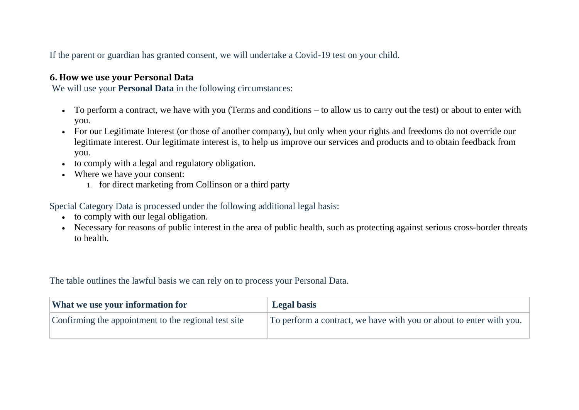If the parent or guardian has granted consent, we will undertake a Covid-19 test on your child.

#### **6. How we use your Personal Data**

We will use your **Personal Data** in the following circumstances:

- To perform a contract, we have with you (Terms and conditions to allow us to carry out the test) or about to enter with you.
- For our Legitimate Interest (or those of another company), but only when your rights and freedoms do not override our legitimate interest. Our legitimate interest is, to help us improve our services and products and to obtain feedback from you.
- to comply with a legal and regulatory obligation.
- Where we have your consent:
	- 1. for direct marketing from Collinson or a third party

Special Category Data is processed under the following additional legal basis:

- to comply with our legal obligation.
- Necessary for reasons of public interest in the area of public health, such as protecting against serious cross-border threats to health.

The table outlines the lawful basis we can rely on to process your Personal Data.

| <b>What we use your information for</b>              | <b>Legal basis</b>                                                  |
|------------------------------------------------------|---------------------------------------------------------------------|
| Confirming the appointment to the regional test site | To perform a contract, we have with you or about to enter with you. |
|                                                      |                                                                     |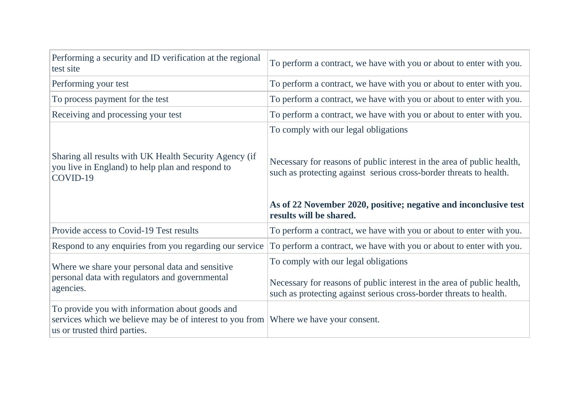| Performing a security and ID verification at the regional<br>test site                                                 | To perform a contract, we have with you or about to enter with you.                                                                                                                  |
|------------------------------------------------------------------------------------------------------------------------|--------------------------------------------------------------------------------------------------------------------------------------------------------------------------------------|
| Performing your test                                                                                                   | To perform a contract, we have with you or about to enter with you.                                                                                                                  |
| To process payment for the test                                                                                        | To perform a contract, we have with you or about to enter with you.                                                                                                                  |
| Receiving and processing your test                                                                                     | To perform a contract, we have with you or about to enter with you.                                                                                                                  |
|                                                                                                                        | To comply with our legal obligations                                                                                                                                                 |
| Sharing all results with UK Health Security Agency (if<br>you live in England) to help plan and respond to<br>COVID-19 | Necessary for reasons of public interest in the area of public health,<br>such as protecting against serious cross-border threats to health.                                         |
|                                                                                                                        | As of 22 November 2020, positive; negative and inconclusive test<br>results will be shared.                                                                                          |
| Provide access to Covid-19 Test results                                                                                | To perform a contract, we have with you or about to enter with you.                                                                                                                  |
| Respond to any enquiries from you regarding our service                                                                | To perform a contract, we have with you or about to enter with you.                                                                                                                  |
| Where we share your personal data and sensitive<br>personal data with regulators and governmental<br>agencies.         | To comply with our legal obligations<br>Necessary for reasons of public interest in the area of public health,<br>such as protecting against serious cross-border threats to health. |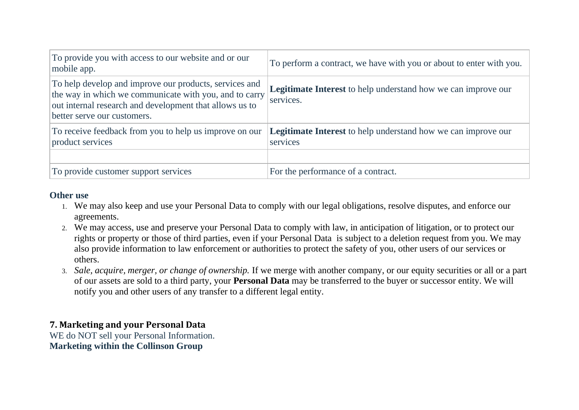| To provide you with access to our website and or our<br>mobile app.                                                                                                                                        | To perform a contract, we have with you or about to enter with you.               |
|------------------------------------------------------------------------------------------------------------------------------------------------------------------------------------------------------------|-----------------------------------------------------------------------------------|
| To help develop and improve our products, services and<br>the way in which we communicate with you, and to carry<br>out internal research and development that allows us to<br>better serve our customers. | <b>Legitimate Interest</b> to help understand how we can improve our<br>services. |
| To receive feedback from you to help us improve on our<br>product services                                                                                                                                 | <b>Legitimate Interest</b> to help understand how we can improve our<br>services  |
| To provide customer support services                                                                                                                                                                       | For the performance of a contract.                                                |

### **Other use**

- 1. We may also keep and use your Personal Data to comply with our legal obligations, resolve disputes, and enforce our agreements.
- 2. We may access, use and preserve your Personal Data to comply with law, in anticipation of litigation, or to protect our rights or property or those of third parties, even if your Personal Data is subject to a deletion request from you. We may also provide information to law enforcement or authorities to protect the safety of you, other users of our services or others.
- 3. *Sale, acquire, merger, or change of ownership.* If we merge with another company, or our equity securities or all or a part of our assets are sold to a third party, your **Personal Data** may be transferred to the buyer or successor entity. We will notify you and other users of any transfer to a different legal entity.

# **7. Marketing and your Personal Data**

WE do NOT sell your Personal Information. **Marketing within the Collinson Group**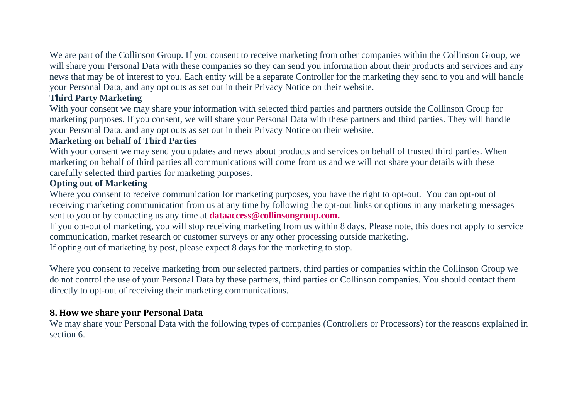We are part of the Collinson Group. If you consent to receive marketing from other companies within the Collinson Group, we will share your Personal Data with these companies so they can send you information about their products and services and any news that may be of interest to you. Each entity will be a separate Controller for the marketing they send to you and will handle your Personal Data, and any opt outs as set out in their Privacy Notice on their website.

### **Third Party Marketing**

With your consent we may share your information with selected third parties and partners outside the Collinson Group for marketing purposes. If you consent, we will share your Personal Data with these partners and third parties. They will handle your Personal Data, and any opt outs as set out in their Privacy Notice on their website.

### **Marketing on behalf of Third Parties**

With your consent we may send you updates and news about products and services on behalf of trusted third parties. When marketing on behalf of third parties all communications will come from us and we will not share your details with these carefully selected third parties for marketing purposes.

### **Opting out of Marketing**

Where you consent to receive communication for marketing purposes, you have the right to opt-out. You can opt-out of receiving marketing communication from us at any time by following the opt-out links or options in any marketing messages sent to you or by contacting us any time at **[dataaccess@collinsongroup.com.](mailto:dataaccess@collinsongroup.com)**

If you opt-out of marketing, you will stop receiving marketing from us within 8 days. Please note, this does not apply to service communication, market research or customer surveys or any other processing outside marketing.

If opting out of marketing by post, please expect 8 days for the marketing to stop.

Where you consent to receive marketing from our selected partners, third parties or companies within the Collinson Group we do not control the use of your Personal Data by these partners, third parties or Collinson companies. You should contact them directly to opt-out of receiving their marketing communications.

### **8. How we share your Personal Data**

We may share your Personal Data with the following types of companies (Controllers or Processors) for the reasons explained in section 6.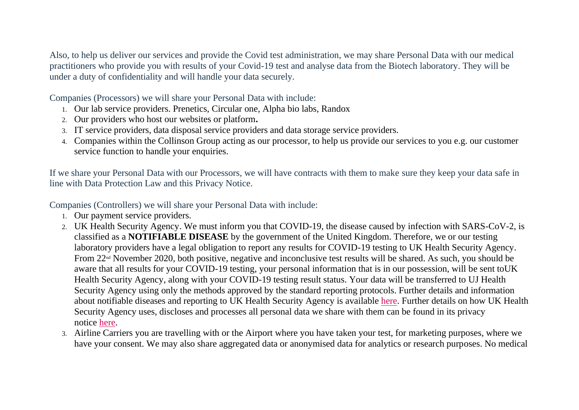Also, to help us deliver our services and provide the Covid test administration, we may share Personal Data with our medical practitioners who provide you with results of your Covid-19 test and analyse data from the Biotech laboratory. They will be under a duty of confidentiality and will handle your data securely.

Companies (Processors) we will share your Personal Data with include:

- 1. Our lab service providers. Prenetics, Circular one, Alpha bio labs, Randox
- 2. Our providers who host our websites or platform**.**
- 3. IT service providers, data disposal service providers and data storage service providers.
- 4. Companies within the Collinson Group acting as our processor, to help us provide our services to you e.g. our customer service function to handle your enquiries.

If we share your Personal Data with our Processors, we will have contracts with them to make sure they keep your data safe in line with Data Protection Law and this Privacy Notice.

Companies (Controllers) we will share your Personal Data with include:

- 1. Our payment service providers.
- 2. UK Health Security Agency. We must inform you that COVID-19, the disease caused by infection with SARS-CoV-2, is classified as a **NOTIFIABLE DISEASE** by the government of the United Kingdom. Therefore, we or our testing laboratory providers have a legal obligation to report any results for COVID-19 testing to UK Health Security Agency. From 22<sup>nd</sup> November 2020, both positive, negative and inconclusive test results will be shared. As such, you should be aware that all results for your COVID-19 testing, your personal information that is in our possession, will be sent toUK Health Security Agency, along with your COVID-19 testing result status. Your data will be transferred to UJ Health Security Agency using only the methods approved by the standard reporting protocols. Further details and information about notifiable diseases and reporting to UK Health Security Agency is available [here.](https://www.gov.uk/guidance/notifiable-diseases-and-causative-organisms-how-to-report.) Further details on how UK Health Security Agency uses, discloses and processes all personal data we share with them can be found in its privacy notice [here.](https://www.gov.uk/government/publications/phe-privacy-information)
- 3. Airline Carriers you are travelling with or the Airport where you have taken your test, for marketing purposes, where we have your consent. We may also share aggregated data or anonymised data for analytics or research purposes. No medical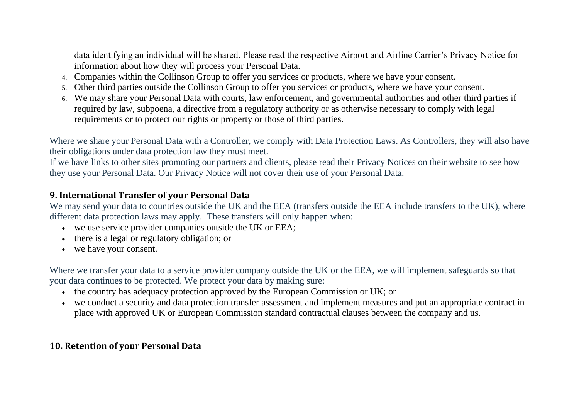data identifying an individual will be shared. Please read the respective Airport and Airline Carrier's Privacy Notice for information about how they will process your Personal Data.

- 4. Companies within the Collinson Group to offer you services or products, where we have your consent.
- 5. Other third parties outside the Collinson Group to offer you services or products, where we have your consent.
- 6. We may share your Personal Data with courts, law enforcement, and governmental authorities and other third parties if required by law, subpoena, a directive from a regulatory authority or as otherwise necessary to comply with legal requirements or to protect our rights or property or those of third parties.

Where we share your Personal Data with a Controller, we comply with Data Protection Laws. As Controllers, they will also have their obligations under data protection law they must meet.

If we have links to other sites promoting our partners and clients, please read their Privacy Notices on their website to see how they use your Personal Data. Our Privacy Notice will not cover their use of your Personal Data.

#### **9. International Transfer of your Personal Data**

We may send your data to countries outside the UK and the EEA (transfers outside the EEA include transfers to the UK), where different data protection laws may apply. These transfers will only happen when:

- we use service provider companies outside the UK or EEA;
- there is a legal or regulatory obligation; or
- we have your consent.

Where we transfer your data to a service provider company outside the UK or the EEA, we will implement safeguards so that your data continues to be protected. We protect your data by making sure:

- the country has adequacy protection approved by the European Commission or UK; or
- we conduct a security and data protection transfer assessment and implement measures and put an appropriate contract in place with approved UK or European Commission standard contractual clauses between the company and us.

## **10. Retention of your Personal Data**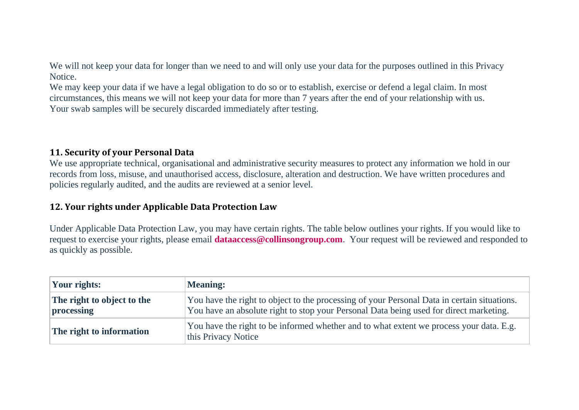We will not keep your data for longer than we need to and will only use your data for the purposes outlined in this Privacy Notice.

We may keep your data if we have a legal obligation to do so or to establish, exercise or defend a legal claim. In most circumstances, this means we will not keep your data for more than 7 years after the end of your relationship with us. Your swab samples will be securely discarded immediately after testing.

#### **11. Security of your Personal Data**

We use appropriate technical, organisational and administrative security measures to protect any information we hold in our records from loss, misuse, and unauthorised access, disclosure, alteration and destruction. We have written procedures and policies regularly audited, and the audits are reviewed at a senior level.

### **12. Your rights under Applicable Data Protection Law**

Under Applicable Data Protection Law, you may have certain rights. The table below outlines your rights. If you would like to request to exercise your rights, please email **[dataaccess@collinsongroup.com](mailto:dataaccess@collinsongroup.com)**. Your request will be reviewed and responded to as quickly as possible.

| Your rights:                             | <b>Meaning:</b>                                                                                                                                                                       |
|------------------------------------------|---------------------------------------------------------------------------------------------------------------------------------------------------------------------------------------|
| The right to object to the<br>processing | You have the right to object to the processing of your Personal Data in certain situations.<br>You have an absolute right to stop your Personal Data being used for direct marketing. |
| The right to information                 | You have the right to be informed whether and to what extent we process your data. E.g.<br>this Privacy Notice                                                                        |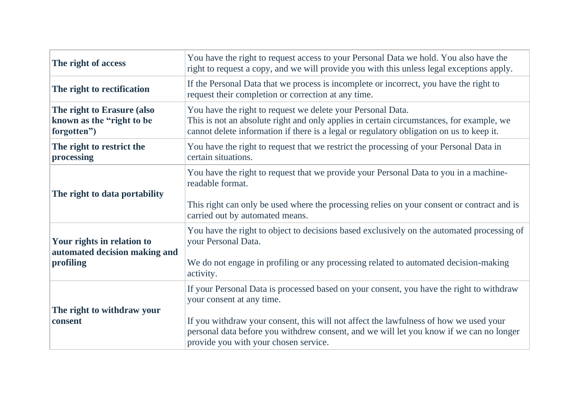| The right of access                                                      | You have the right to request access to your Personal Data we hold. You also have the<br>right to request a copy, and we will provide you with this unless legal exceptions apply.                                                                                                                                                                 |
|--------------------------------------------------------------------------|----------------------------------------------------------------------------------------------------------------------------------------------------------------------------------------------------------------------------------------------------------------------------------------------------------------------------------------------------|
| The right to rectification                                               | If the Personal Data that we process is incomplete or incorrect, you have the right to<br>request their completion or correction at any time.                                                                                                                                                                                                      |
| The right to Erasure (also<br>known as the "right to be<br>forgotten")   | You have the right to request we delete your Personal Data.<br>This is not an absolute right and only applies in certain circumstances, for example, we<br>cannot delete information if there is a legal or regulatory obligation on us to keep it.                                                                                                |
| The right to restrict the<br>processing                                  | You have the right to request that we restrict the processing of your Personal Data in<br>certain situations.                                                                                                                                                                                                                                      |
| The right to data portability                                            | You have the right to request that we provide your Personal Data to you in a machine-<br>readable format.<br>This right can only be used where the processing relies on your consent or contract and is<br>carried out by automated means.                                                                                                         |
| Your rights in relation to<br>automated decision making and<br>profiling | You have the right to object to decisions based exclusively on the automated processing of<br>your Personal Data.<br>We do not engage in profiling or any processing related to automated decision-making<br>activity.                                                                                                                             |
| The right to withdraw your<br>consent                                    | If your Personal Data is processed based on your consent, you have the right to withdraw<br>your consent at any time.<br>If you withdraw your consent, this will not affect the lawfulness of how we used your<br>personal data before you withdrew consent, and we will let you know if we can no longer<br>provide you with your chosen service. |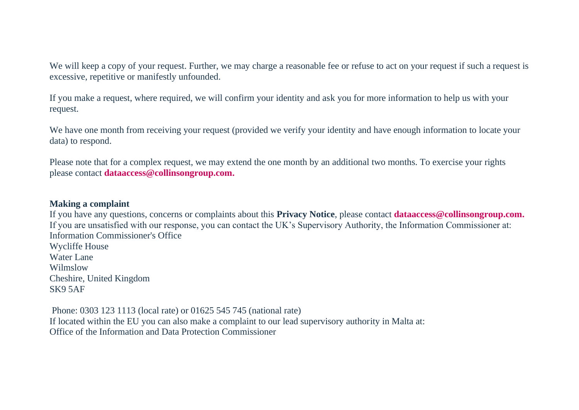We will keep a copy of your request. Further, we may charge a reasonable fee or refuse to act on your request if such a request is excessive, repetitive or manifestly unfounded.

If you make a request, where required, we will confirm your identity and ask you for more information to help us with your request.

We have one month from receiving your request (provided we verify your identity and have enough information to locate your data) to respond.

Please note that for a complex request, we may extend the one month by an additional two months. To exercise your rights please contact **[dataaccess@collinsongroup.com.](mailto:dataaccess@collinsongroup.com)**

#### **Making a complaint**

If you have any questions, concerns or complaints about this **Privacy Notice**, please contact **[dataaccess@collinsongroup.com.](mailto:dataaccess@collinsongroup.com)** If you are unsatisfied with our response, you can contact the UK's Supervisory Authority, the Information Commissioner at: Information Commissioner's Office Wycliffe House Water Lane Wilmslow Cheshire, United Kingdom SK9 5AF

Phone: 0303 123 1113 (local rate) or 01625 545 745 (national rate) If located within the EU you can also make a complaint to our lead supervisory authority in Malta at: Office of the Information and Data Protection Commissioner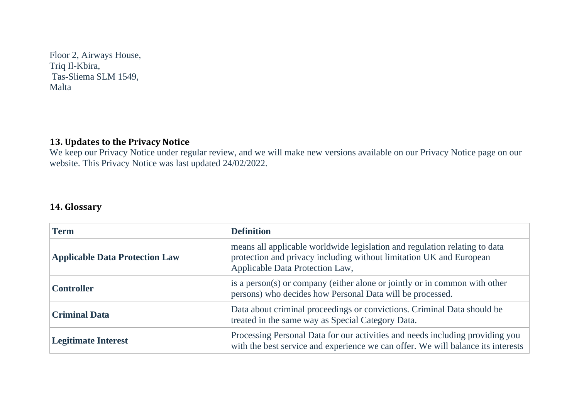Floor 2, Airways House, Triq Il-Kbira, Tas-Sliema SLM 1549, Malta

# **13. Updates to the Privacy Notice**

We keep our Privacy Notice under regular review, and we will make new versions available on our Privacy Notice page on our website. This Privacy Notice was last updated 24/02/2022.

## **14. Glossary**

| <b>Term</b>                           | <b>Definition</b>                                                                                                                                                                    |
|---------------------------------------|--------------------------------------------------------------------------------------------------------------------------------------------------------------------------------------|
| <b>Applicable Data Protection Law</b> | means all applicable worldwide legislation and regulation relating to data<br>protection and privacy including without limitation UK and European<br>Applicable Data Protection Law, |
| <b>Controller</b>                     | is a person(s) or company (either alone or jointly or in common with other<br>persons) who decides how Personal Data will be processed.                                              |
| <b>Criminal Data</b>                  | Data about criminal proceedings or convictions. Criminal Data should be<br>treated in the same way as Special Category Data.                                                         |
| <b>Legitimate Interest</b>            | Processing Personal Data for our activities and needs including providing you<br>with the best service and experience we can offer. We will balance its interests                    |